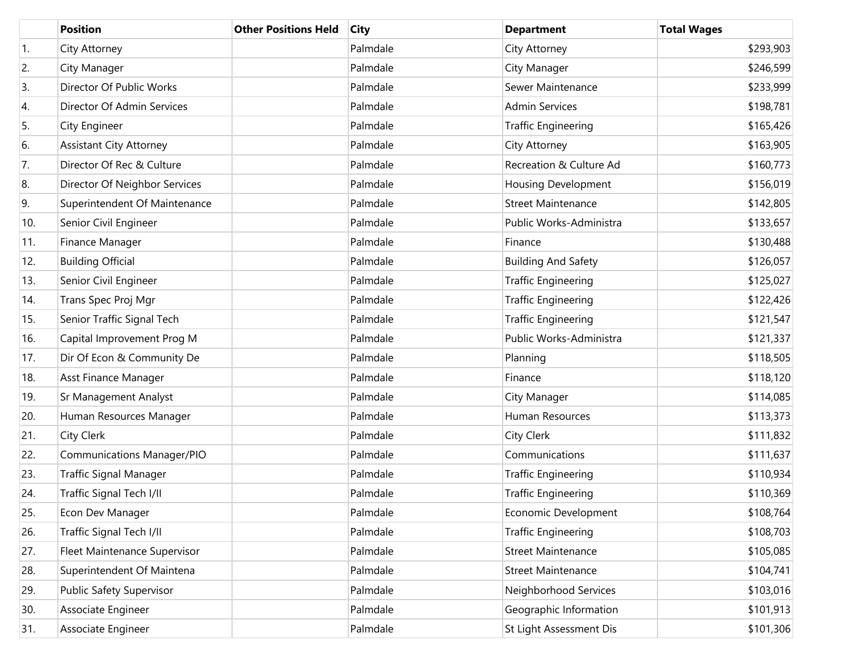|     | <b>Position</b>                   | <b>Other Positions Held</b> | <b>City</b> | <b>Department</b>          | <b>Total Wages</b> |
|-----|-----------------------------------|-----------------------------|-------------|----------------------------|--------------------|
| 1.  | City Attorney                     |                             | Palmdale    | City Attorney              | \$293,903          |
| 2.  | City Manager                      |                             | Palmdale    | City Manager               | \$246,599          |
| 3.  | Director Of Public Works          |                             | Palmdale    | Sewer Maintenance          | \$233,999          |
| 4.  | Director Of Admin Services        |                             | Palmdale    | <b>Admin Services</b>      | \$198,781          |
| 5.  | City Engineer                     |                             | Palmdale    | <b>Traffic Engineering</b> | \$165,426          |
| 6.  | <b>Assistant City Attorney</b>    |                             | Palmdale    | City Attorney              | \$163,905          |
| 7.  | Director Of Rec & Culture         |                             | Palmdale    | Recreation & Culture Ad    | \$160,773          |
| 8.  | Director Of Neighbor Services     |                             | Palmdale    | Housing Development        | \$156,019          |
| 9.  | Superintendent Of Maintenance     |                             | Palmdale    | <b>Street Maintenance</b>  | \$142,805          |
| 10. | Senior Civil Engineer             |                             | Palmdale    | Public Works-Administra    | \$133,657          |
| 11. | Finance Manager                   |                             | Palmdale    | Finance                    | \$130,488          |
| 12. | <b>Building Official</b>          |                             | Palmdale    | <b>Building And Safety</b> | \$126,057          |
| 13. | Senior Civil Engineer             |                             | Palmdale    | <b>Traffic Engineering</b> | \$125,027          |
| 14. | Trans Spec Proj Mgr               |                             | Palmdale    | <b>Traffic Engineering</b> | \$122,426          |
| 15. | Senior Traffic Signal Tech        |                             | Palmdale    | <b>Traffic Engineering</b> | \$121,547          |
| 16. | Capital Improvement Prog M        |                             | Palmdale    | Public Works-Administra    | \$121,337          |
| 17. | Dir Of Econ & Community De        |                             | Palmdale    | Planning                   | \$118,505          |
| 18. | Asst Finance Manager              |                             | Palmdale    | Finance                    | \$118,120          |
| 19. | Sr Management Analyst             |                             | Palmdale    | City Manager               | \$114,085          |
| 20. | Human Resources Manager           |                             | Palmdale    | Human Resources            | \$113,373          |
| 21. | City Clerk                        |                             | Palmdale    | City Clerk                 | \$111,832          |
| 22. | <b>Communications Manager/PIO</b> |                             | Palmdale    | Communications             | \$111,637          |
| 23. | <b>Traffic Signal Manager</b>     |                             | Palmdale    | <b>Traffic Engineering</b> | \$110,934          |
| 24. | Traffic Signal Tech I/II          |                             | Palmdale    | <b>Traffic Engineering</b> | \$110,369          |
| 25. | Econ Dev Manager                  |                             | Palmdale    | Economic Development       | \$108,764          |
| 26. | Traffic Signal Tech I/II          |                             | Palmdale    | <b>Traffic Engineering</b> | \$108,703          |
| 27. | Fleet Maintenance Supervisor      |                             | Palmdale    | <b>Street Maintenance</b>  | \$105,085          |
| 28. | Superintendent Of Maintena        |                             | Palmdale    | <b>Street Maintenance</b>  | \$104,741          |
| 29. | Public Safety Supervisor          |                             | Palmdale    | Neighborhood Services      | \$103,016          |
| 30. | Associate Engineer                |                             | Palmdale    | Geographic Information     | \$101,913          |
| 31. | Associate Engineer                |                             | Palmdale    | St Light Assessment Dis    | \$101,306          |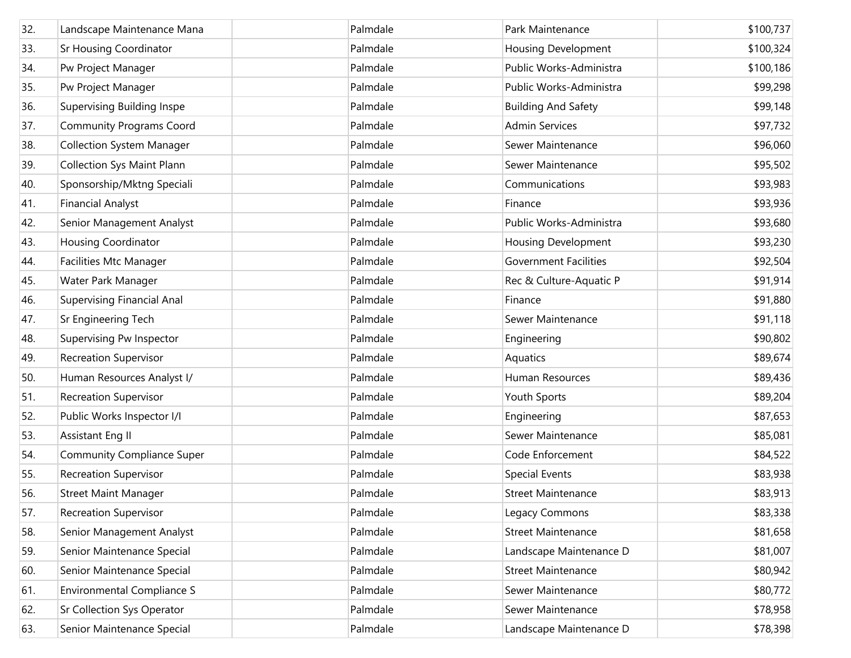| 32. | Landscape Maintenance Mana        | Palmdale | Park Maintenance             | \$100,737 |
|-----|-----------------------------------|----------|------------------------------|-----------|
| 33. | <b>Sr Housing Coordinator</b>     | Palmdale | Housing Development          | \$100,324 |
| 34. | Pw Project Manager                | Palmdale | Public Works-Administra      | \$100,186 |
| 35. | Pw Project Manager                | Palmdale | Public Works-Administra      | \$99,298  |
| 36. | Supervising Building Inspe        | Palmdale | <b>Building And Safety</b>   | \$99,148  |
| 37. | <b>Community Programs Coord</b>   | Palmdale | <b>Admin Services</b>        | \$97,732  |
| 38. | <b>Collection System Manager</b>  | Palmdale | Sewer Maintenance            | \$96,060  |
| 39. | <b>Collection Sys Maint Plann</b> | Palmdale | Sewer Maintenance            | \$95,502  |
| 40. | Sponsorship/Mktng Speciali        | Palmdale | Communications               | \$93,983  |
| 41. | <b>Financial Analyst</b>          | Palmdale | Finance                      | \$93,936  |
| 42. | Senior Management Analyst         | Palmdale | Public Works-Administra      | \$93,680  |
| 43. | <b>Housing Coordinator</b>        | Palmdale | <b>Housing Development</b>   | \$93,230  |
| 44. | <b>Facilities Mtc Manager</b>     | Palmdale | <b>Government Facilities</b> | \$92,504  |
| 45. | Water Park Manager                | Palmdale | Rec & Culture-Aquatic P      | \$91,914  |
| 46. | <b>Supervising Financial Anal</b> | Palmdale | Finance                      | \$91,880  |
| 47. | Sr Engineering Tech               | Palmdale | Sewer Maintenance            | \$91,118  |
| 48. | Supervising Pw Inspector          | Palmdale | Engineering                  | \$90,802  |
| 49. | <b>Recreation Supervisor</b>      | Palmdale | Aquatics                     | \$89,674  |
| 50. | Human Resources Analyst I/        | Palmdale | Human Resources              | \$89,436  |
| 51. | <b>Recreation Supervisor</b>      | Palmdale | Youth Sports                 | \$89,204  |
| 52. | Public Works Inspector I/I        | Palmdale | Engineering                  | \$87,653  |
| 53. | Assistant Eng II                  | Palmdale | Sewer Maintenance            | \$85,081  |
| 54. | <b>Community Compliance Super</b> | Palmdale | Code Enforcement             | \$84,522  |
| 55. | <b>Recreation Supervisor</b>      | Palmdale | <b>Special Events</b>        | \$83,938  |
| 56. | <b>Street Maint Manager</b>       | Palmdale | <b>Street Maintenance</b>    | \$83,913  |
| 57. | <b>Recreation Supervisor</b>      | Palmdale | Legacy Commons               | \$83,338  |
| 58. | Senior Management Analyst         | Palmdale | <b>Street Maintenance</b>    | \$81,658  |
| 59. | Senior Maintenance Special        | Palmdale | Landscape Maintenance D      | \$81,007  |
| 60. | Senior Maintenance Special        | Palmdale | <b>Street Maintenance</b>    | \$80,942  |
| 61. | <b>Environmental Compliance S</b> | Palmdale | Sewer Maintenance            | \$80,772  |
| 62. | <b>Sr Collection Sys Operator</b> | Palmdale | Sewer Maintenance            | \$78,958  |
| 63. | Senior Maintenance Special        | Palmdale | Landscape Maintenance D      | \$78,398  |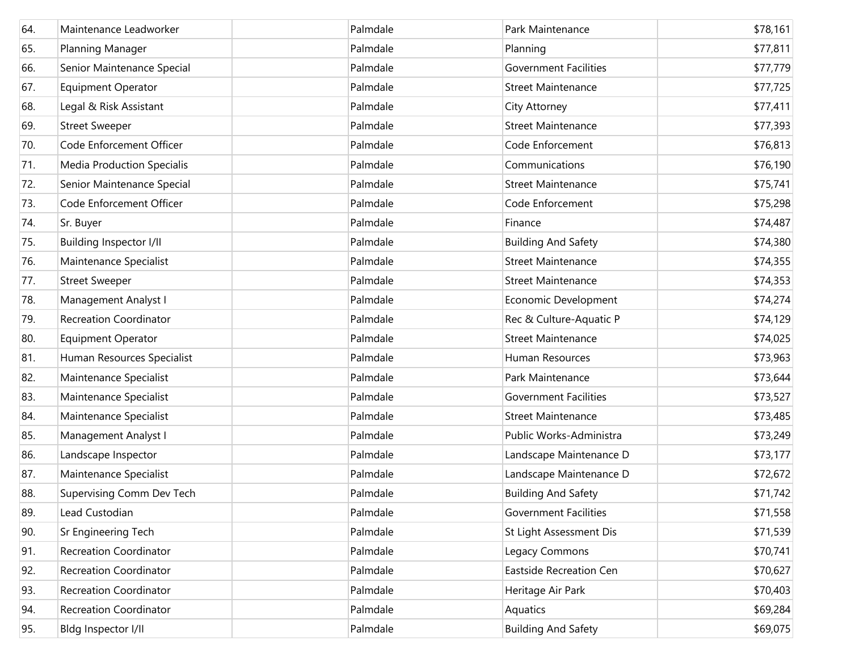| 64. | Maintenance Leadworker            | Palmdale | Park Maintenance               | \$78,161 |
|-----|-----------------------------------|----------|--------------------------------|----------|
| 65. | Planning Manager                  | Palmdale | Planning                       | \$77,811 |
| 66. | Senior Maintenance Special        | Palmdale | <b>Government Facilities</b>   | \$77,779 |
| 67. | <b>Equipment Operator</b>         | Palmdale | <b>Street Maintenance</b>      | \$77,725 |
| 68. | Legal & Risk Assistant            | Palmdale | City Attorney                  | \$77,411 |
| 69. | <b>Street Sweeper</b>             | Palmdale | <b>Street Maintenance</b>      | \$77,393 |
| 70. | Code Enforcement Officer          | Palmdale | Code Enforcement               | \$76,813 |
| 71. | <b>Media Production Specialis</b> | Palmdale | Communications                 | \$76,190 |
| 72. | Senior Maintenance Special        | Palmdale | <b>Street Maintenance</b>      | \$75,741 |
| 73. | Code Enforcement Officer          | Palmdale | Code Enforcement               | \$75,298 |
| 74. | Sr. Buyer                         | Palmdale | Finance                        | \$74,487 |
| 75. | <b>Building Inspector I/II</b>    | Palmdale | <b>Building And Safety</b>     | \$74,380 |
| 76. | Maintenance Specialist            | Palmdale | <b>Street Maintenance</b>      | \$74,355 |
| 77. | <b>Street Sweeper</b>             | Palmdale | <b>Street Maintenance</b>      | \$74,353 |
| 78. | Management Analyst I              | Palmdale | Economic Development           | \$74,274 |
| 79. | <b>Recreation Coordinator</b>     | Palmdale | Rec & Culture-Aquatic P        | \$74,129 |
| 80. | <b>Equipment Operator</b>         | Palmdale | <b>Street Maintenance</b>      | \$74,025 |
| 81. | Human Resources Specialist        | Palmdale | Human Resources                | \$73,963 |
| 82. | Maintenance Specialist            | Palmdale | Park Maintenance               | \$73,644 |
| 83. | Maintenance Specialist            | Palmdale | <b>Government Facilities</b>   | \$73,527 |
| 84. | Maintenance Specialist            | Palmdale | <b>Street Maintenance</b>      | \$73,485 |
| 85. | Management Analyst I              | Palmdale | Public Works-Administra        | \$73,249 |
| 86. | Landscape Inspector               | Palmdale | Landscape Maintenance D        | \$73,177 |
| 87. | Maintenance Specialist            | Palmdale | Landscape Maintenance D        | \$72,672 |
| 88. | Supervising Comm Dev Tech         | Palmdale | <b>Building And Safety</b>     | \$71,742 |
| 89. | Lead Custodian                    | Palmdale | <b>Government Facilities</b>   | \$71,558 |
| 90. | Sr Engineering Tech               | Palmdale | St Light Assessment Dis        | \$71,539 |
| 91. | <b>Recreation Coordinator</b>     | Palmdale | Legacy Commons                 | \$70,741 |
| 92. | <b>Recreation Coordinator</b>     | Palmdale | <b>Eastside Recreation Cen</b> | \$70,627 |
| 93. | <b>Recreation Coordinator</b>     | Palmdale | Heritage Air Park              | \$70,403 |
| 94. | <b>Recreation Coordinator</b>     | Palmdale | Aquatics                       | \$69,284 |
| 95. | Bldg Inspector I/II               | Palmdale | <b>Building And Safety</b>     | \$69,075 |